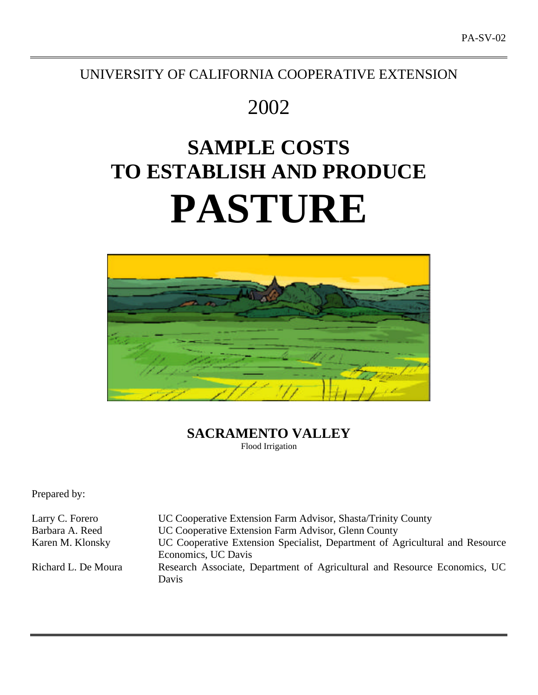# UNIVERSITY OF CALIFORNIA COOPERATIVE EXTENSION

# 2002

# **SAMPLE COSTS TO ESTABLISH AND PRODUCE PASTURE**



# **SACRAMENTO VALLEY** Flood Irrigation

Prepared by:

Larry C. Forero UC Cooperative Extension Farm Advisor, Shasta/Trinity County Barbara A. Reed UC Cooperative Extension Farm Advisor, Glenn County Karen M. Klonsky UC Cooperative Extension Specialist, Department of Agricultural and Resource Economics, UC Davis Richard L. De Moura Research Associate, Department of Agricultural and Resource Economics, UC Davis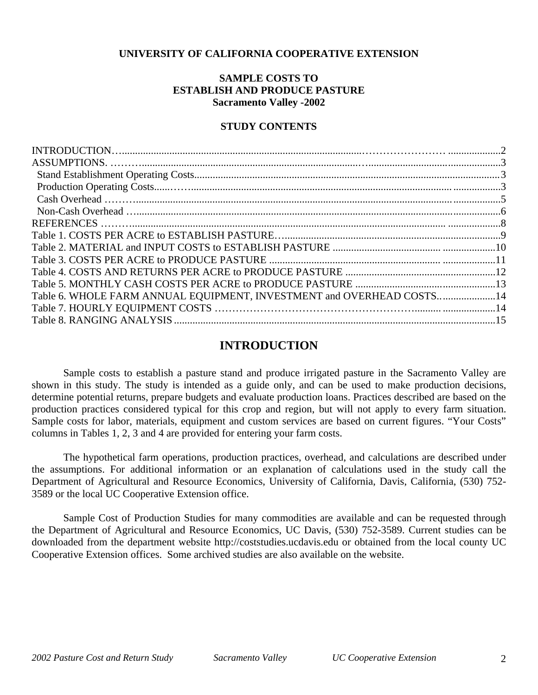## **UNIVERSITY OF CALIFORNIA COOPERATIVE EXTENSION**

# **SAMPLE COSTS TO ESTABLISH AND PRODUCE PASTURE Sacramento Valley -2002**

# **STUDY CONTENTS**

| Table 6. WHOLE FARM ANNUAL EQUIPMENT, INVESTMENT and OVERHEAD COSTS14 |  |
|-----------------------------------------------------------------------|--|
|                                                                       |  |
|                                                                       |  |

# **INTRODUCTION**

Sample costs to establish a pasture stand and produce irrigated pasture in the Sacramento Valley are shown in this study. The study is intended as a guide only, and can be used to make production decisions, determine potential returns, prepare budgets and evaluate production loans. Practices described are based on the production practices considered typical for this crop and region, but will not apply to every farm situation. Sample costs for labor, materials, equipment and custom services are based on current figures. "Your Costs" columns in Tables 1, 2, 3 and 4 are provided for entering your farm costs.

The hypothetical farm operations, production practices, overhead, and calculations are described under the assumptions. For additional information or an explanation of calculations used in the study call the Department of Agricultural and Resource Economics, University of California, Davis, California, (530) 752- 3589 or the local UC Cooperative Extension office.

Sample Cost of Production Studies for many commodities are available and can be requested through the Department of Agricultural and Resource Economics, UC Davis, (530) 752-3589. Current studies can be downloaded from the department website http://coststudies.ucdavis.edu or obtained from the local county UC Cooperative Extension offices. Some archived studies are also available on the website.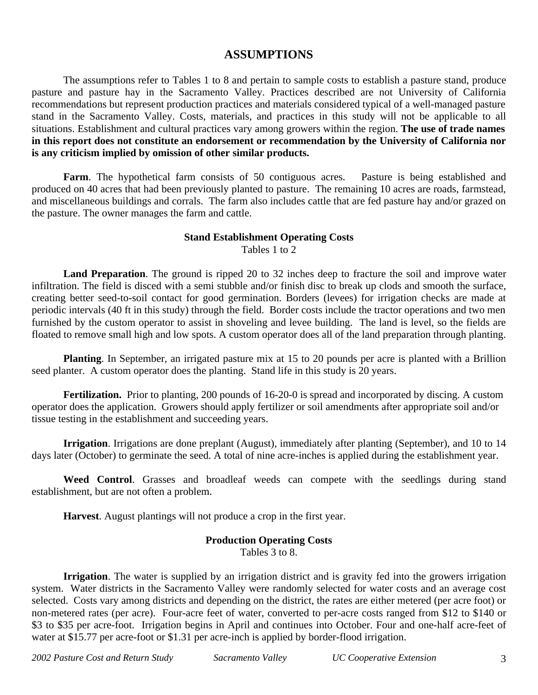# **ASSUMPTIONS**

The assumptions refer to Tables 1 to 8 and pertain to sample costs to establish a pasture stand, produce pasture and pasture hay in the Sacramento Valley. Practices described are not University of California recommendations but represent production practices and materials considered typical of a well-managed pasture stand in the Sacramento Valley. Costs, materials, and practices in this study will not be applicable to all situations. Establishment and cultural practices vary among growers within the region. **The use of trade names in this report does not constitute an endorsement or recommendation by the University of California nor is any criticism implied by omission of other similar products.**

Farm. The hypothetical farm consists of 50 contiguous acres. Pasture is being established and produced on 40 acres that had been previously planted to pasture. The remaining 10 acres are roads, farmstead, and miscellaneous buildings and corrals. The farm also includes cattle that are fed pasture hay and/or grazed on the pasture. The owner manages the farm and cattle.

### **Stand Establishment Operating Costs**

Tables 1 to 2

Land Preparation. The ground is ripped 20 to 32 inches deep to fracture the soil and improve water infiltration. The field is disced with a semi stubble and/or finish disc to break up clods and smooth the surface, creating better seed-to-soil contact for good germination. Borders (levees) for irrigation checks are made at periodic intervals (40 ft in this study) through the field. Border costs include the tractor operations and two men furnished by the custom operator to assist in shoveling and levee building. The land is level, so the fields are floated to remove small high and low spots. A custom operator does all of the land preparation through planting.

**Planting**. In September, an irrigated pasture mix at 15 to 20 pounds per acre is planted with a Brillion seed planter. A custom operator does the planting. Stand life in this study is 20 years.

Fertilization. Prior to planting, 200 pounds of 16-20-0 is spread and incorporated by discing. A custom operator does the application. Growers should apply fertilizer or soil amendments after appropriate soil and/or tissue testing in the establishment and succeeding years.

**Irrigation**. Irrigations are done preplant (August), immediately after planting (September), and 10 to 14 days later (October) to germinate the seed. A total of nine acre-inches is applied during the establishment year.

**Weed Control**. Grasses and broadleaf weeds can compete with the seedlings during stand establishment, but are not often a problem.

**Harvest**. August plantings will not produce a crop in the first year.

# **Production Operating Costs**

Tables 3 to 8.

**Irrigation**. The water is supplied by an irrigation district and is gravity fed into the growers irrigation system. Water districts in the Sacramento Valley were randomly selected for water costs and an average cost selected. Costs vary among districts and depending on the district, the rates are either metered (per acre foot) or non-metered rates (per acre). Four-acre feet of water, converted to per-acre costs ranged from \$12 to \$140 or \$3 to \$35 per acre-foot. Irrigation begins in April and continues into October. Four and one-half acre-feet of water at \$15.77 per acre-foot or \$1.31 per acre-inch is applied by border-flood irrigation.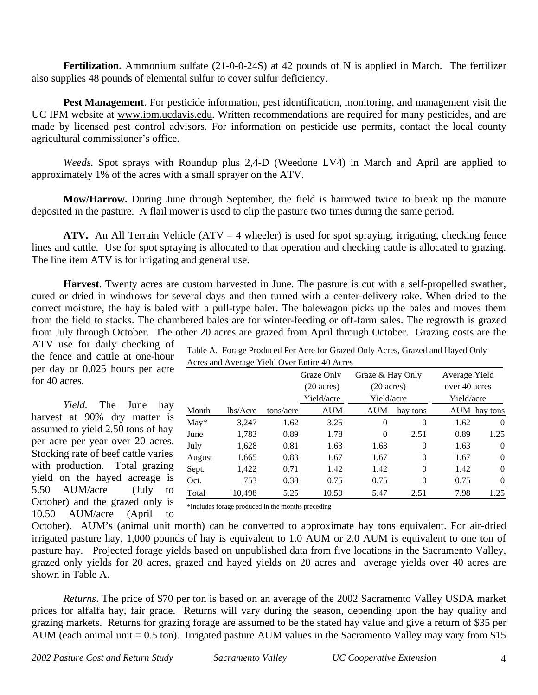**Fertilization.** Ammonium sulfate (21-0-0-24S) at 42 pounds of N is applied in March. The fertilizer also supplies 48 pounds of elemental sulfur to cover sulfur deficiency.

**Pest Management**. For pesticide information, pest identification, monitoring, and management visit the UC IPM website at www.ipm.ucdavis.edu. Written recommendations are required for many pesticides, and are made by licensed pest control advisors. For information on pesticide use permits, contact the local county agricultural commissioner's office.

*Weeds.* Spot sprays with Roundup plus 2,4-D (Weedone LV4) in March and April are applied to approximately 1% of the acres with a small sprayer on the ATV.

**Mow/Harrow.** During June through September, the field is harrowed twice to break up the manure deposited in the pasture. A flail mower is used to clip the pasture two times during the same period.

**ATV.** An All Terrain Vehicle (ATV – 4 wheeler) is used for spot spraying, irrigating, checking fence lines and cattle. Use for spot spraying is allocated to that operation and checking cattle is allocated to grazing. The line item ATV is for irrigating and general use.

**Harvest**. Twenty acres are custom harvested in June. The pasture is cut with a self-propelled swather, cured or dried in windrows for several days and then turned with a center-delivery rake. When dried to the correct moisture, the hay is baled with a pull-type baler. The balewagon picks up the bales and moves them from the field to stacks. The chambered bales are for winter-feeding or off-farm sales. The regrowth is grazed from July through October. The other 20 acres are grazed from April through October. Grazing costs are the ATV use for daily checking of

the fence and cattle at one-hour per day or 0.025 hours per acre for 40 acres.

*Yield.* The June hay harvest at 90% dry matter is assumed to yield 2.50 tons of hay per acre per year over 20 acres. Stocking rate of beef cattle varies with production. Total grazing yield on the hayed acreage is 5.50 AUM/acre (July to October) and the grazed only is 10.50 AUM/acre (April to Table A. Forage Produced Per Acre for Grazed Only Acres, Grazed and Hayed Only Acres and Average Yield Over Entire 40 Acres

|        |          |           | Graze Only<br>$(20 \text{ acres})$<br>Yield/acre | Graze & Hay Only<br>$(20 \text{ acres})$<br>Yield/acre |                | Average Yield<br>over 40 acres<br>Yield/acre |              |
|--------|----------|-----------|--------------------------------------------------|--------------------------------------------------------|----------------|----------------------------------------------|--------------|
| Month  | lbs/Acre | tons/acre | <b>AUM</b>                                       | <b>AUM</b>                                             | hay tons       |                                              | AUM hay tons |
| $May*$ | 3,247    | 1.62      | 3.25                                             | $\theta$                                               | $\theta$       | 1.62                                         | $\Omega$     |
| June   | 1,783    | 0.89      | 1.78                                             | $\Omega$                                               | 2.51           | 0.89                                         | 1.25         |
| July   | 1,628    | 0.81      | 1.63                                             | 1.63                                                   | $\overline{0}$ | 1.63                                         | $\Omega$     |
| August | 1,665    | 0.83      | 1.67                                             | 1.67                                                   | $\theta$       | 1.67                                         | $\Omega$     |
| Sept.  | 1,422    | 0.71      | 1.42                                             | 1.42                                                   | $\theta$       | 1.42                                         | $\Omega$     |
| Oct.   | 753      | 0.38      | 0.75                                             | 0.75                                                   | 0              | 0.75                                         | 0            |
| Total  | 10,498   | 5.25      | 10.50                                            | 5.47                                                   | 2.51           | 7.98                                         | 1.25         |

\*Includes forage produced in the months preceding

October). AUM's (animal unit month) can be converted to approximate hay tons equivalent. For air-dried irrigated pasture hay, 1,000 pounds of hay is equivalent to 1.0 AUM or 2.0 AUM is equivalent to one ton of pasture hay. Projected forage yields based on unpublished data from five locations in the Sacramento Valley, grazed only yields for 20 acres, grazed and hayed yields on 20 acres and average yields over 40 acres are shown in Table A.

*Returns*. The price of \$70 per ton is based on an average of the 2002 Sacramento Valley USDA market prices for alfalfa hay, fair grade. Returns will vary during the season, depending upon the hay quality and grazing markets. Returns for grazing forage are assumed to be the stated hay value and give a return of \$35 per AUM (each animal unit  $= 0.5$  ton). Irrigated pasture AUM values in the Sacramento Valley may vary from \$15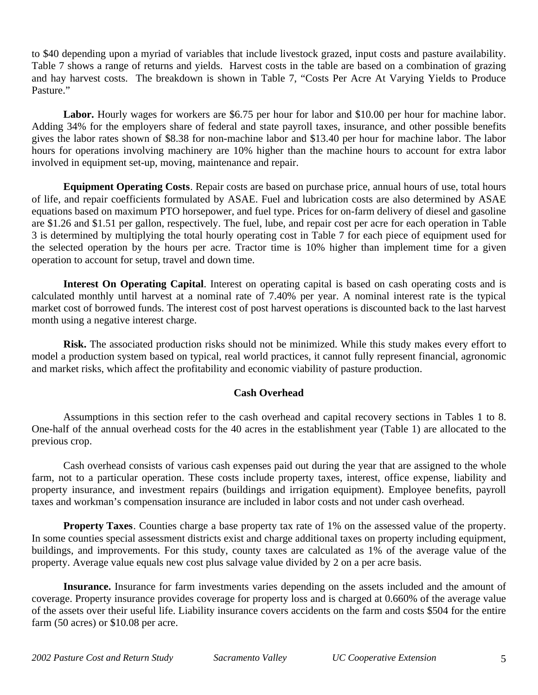to \$40 depending upon a myriad of variables that include livestock grazed, input costs and pasture availability. Table 7 shows a range of returns and yields. Harvest costs in the table are based on a combination of grazing and hay harvest costs. The breakdown is shown in Table 7, "Costs Per Acre At Varying Yields to Produce Pasture."

Labor. Hourly wages for workers are \$6.75 per hour for labor and \$10.00 per hour for machine labor. Adding 34% for the employers share of federal and state payroll taxes, insurance, and other possible benefits gives the labor rates shown of \$8.38 for non-machine labor and \$13.40 per hour for machine labor. The labor hours for operations involving machinery are 10% higher than the machine hours to account for extra labor involved in equipment set-up, moving, maintenance and repair.

**Equipment Operating Costs**. Repair costs are based on purchase price, annual hours of use, total hours of life, and repair coefficients formulated by ASAE. Fuel and lubrication costs are also determined by ASAE equations based on maximum PTO horsepower, and fuel type. Prices for on-farm delivery of diesel and gasoline are \$1.26 and \$1.51 per gallon, respectively. The fuel, lube, and repair cost per acre for each operation in Table 3 is determined by multiplying the total hourly operating cost in Table 7 for each piece of equipment used for the selected operation by the hours per acre. Tractor time is 10% higher than implement time for a given operation to account for setup, travel and down time.

**Interest On Operating Capital**. Interest on operating capital is based on cash operating costs and is calculated monthly until harvest at a nominal rate of 7.40% per year. A nominal interest rate is the typical market cost of borrowed funds. The interest cost of post harvest operations is discounted back to the last harvest month using a negative interest charge.

**Risk.** The associated production risks should not be minimized. While this study makes every effort to model a production system based on typical, real world practices, it cannot fully represent financial, agronomic and market risks, which affect the profitability and economic viability of pasture production.

# **Cash Overhead**

Assumptions in this section refer to the cash overhead and capital recovery sections in Tables 1 to 8. One-half of the annual overhead costs for the 40 acres in the establishment year (Table 1) are allocated to the previous crop.

Cash overhead consists of various cash expenses paid out during the year that are assigned to the whole farm, not to a particular operation. These costs include property taxes, interest, office expense, liability and property insurance, and investment repairs (buildings and irrigation equipment). Employee benefits, payroll taxes and workman's compensation insurance are included in labor costs and not under cash overhead.

**Property Taxes**. Counties charge a base property tax rate of 1% on the assessed value of the property. In some counties special assessment districts exist and charge additional taxes on property including equipment, buildings, and improvements. For this study, county taxes are calculated as 1% of the average value of the property. Average value equals new cost plus salvage value divided by 2 on a per acre basis.

**Insurance.** Insurance for farm investments varies depending on the assets included and the amount of coverage. Property insurance provides coverage for property loss and is charged at 0.660% of the average value of the assets over their useful life. Liability insurance covers accidents on the farm and costs \$504 for the entire farm (50 acres) or \$10.08 per acre.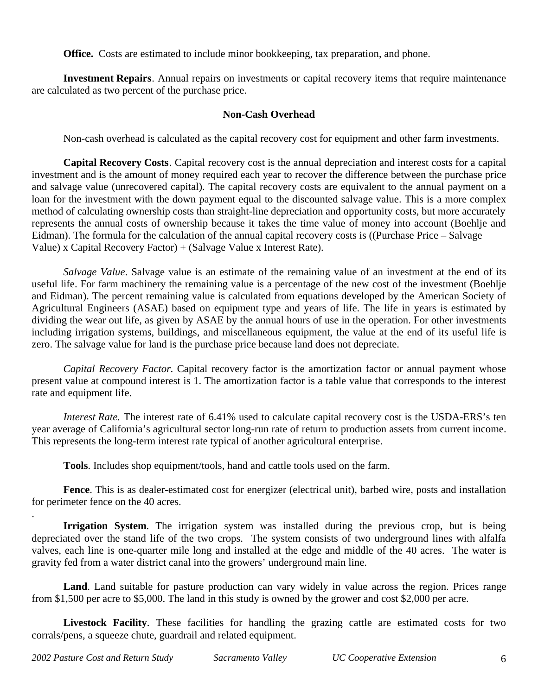**Office.** Costs are estimated to include minor bookkeeping, tax preparation, and phone.

**Investment Repairs**. Annual repairs on investments or capital recovery items that require maintenance are calculated as two percent of the purchase price.

# **Non-Cash Overhead**

Non-cash overhead is calculated as the capital recovery cost for equipment and other farm investments.

**Capital Recovery Costs**. Capital recovery cost is the annual depreciation and interest costs for a capital investment and is the amount of money required each year to recover the difference between the purchase price and salvage value (unrecovered capital). The capital recovery costs are equivalent to the annual payment on a loan for the investment with the down payment equal to the discounted salvage value. This is a more complex method of calculating ownership costs than straight-line depreciation and opportunity costs, but more accurately represents the annual costs of ownership because it takes the time value of money into account (Boehlje and Eidman). The formula for the calculation of the annual capital recovery costs is ((Purchase Price – Salvage Value) x Capital Recovery Factor) + (Salvage Value x Interest Rate).

*Salvage Value*. Salvage value is an estimate of the remaining value of an investment at the end of its useful life. For farm machinery the remaining value is a percentage of the new cost of the investment (Boehlje and Eidman). The percent remaining value is calculated from equations developed by the American Society of Agricultural Engineers (ASAE) based on equipment type and years of life. The life in years is estimated by dividing the wear out life, as given by ASAE by the annual hours of use in the operation. For other investments including irrigation systems, buildings, and miscellaneous equipment, the value at the end of its useful life is zero. The salvage value for land is the purchase price because land does not depreciate.

*Capital Recovery Factor*. Capital recovery factor is the amortization factor or annual payment whose present value at compound interest is 1. The amortization factor is a table value that corresponds to the interest rate and equipment life.

*Interest Rate.* The interest rate of 6.41% used to calculate capital recovery cost is the USDA-ERS's ten year average of California's agricultural sector long-run rate of return to production assets from current income. This represents the long-term interest rate typical of another agricultural enterprise.

**Tools**. Includes shop equipment/tools, hand and cattle tools used on the farm.

**Fence**. This is as dealer-estimated cost for energizer (electrical unit), barbed wire, posts and installation for perimeter fence on the 40 acres.

**Irrigation System.** The irrigation system was installed during the previous crop, but is being depreciated over the stand life of the two crops. The system consists of two underground lines with alfalfa valves, each line is one-quarter mile long and installed at the edge and middle of the 40 acres. The water is gravity fed from a water district canal into the growers' underground main line.

Land. Land suitable for pasture production can vary widely in value across the region. Prices range from \$1,500 per acre to \$5,000. The land in this study is owned by the grower and cost \$2,000 per acre.

Livestock Facility. These facilities for handling the grazing cattle are estimated costs for two corrals/pens, a squeeze chute, guardrail and related equipment.

.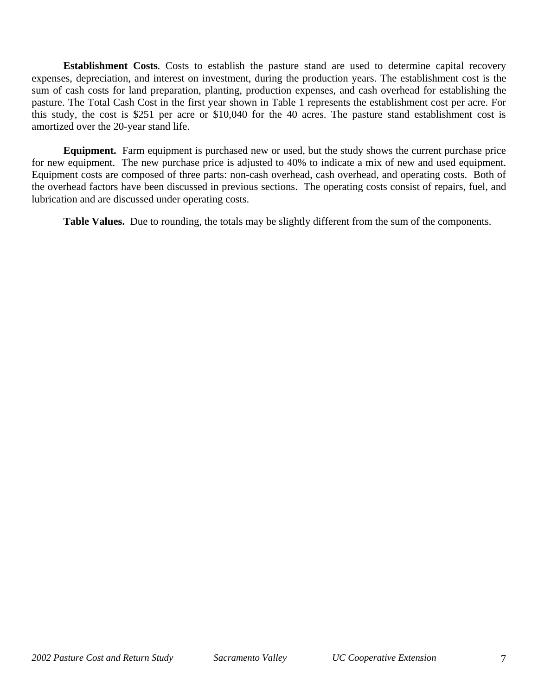**Establishment Costs**. Costs to establish the pasture stand are used to determine capital recovery expenses, depreciation, and interest on investment, during the production years. The establishment cost is the sum of cash costs for land preparation, planting, production expenses, and cash overhead for establishing the pasture. The Total Cash Cost in the first year shown in Table 1 represents the establishment cost per acre. For this study, the cost is \$251 per acre or \$10,040 for the 40 acres. The pasture stand establishment cost is amortized over the 20-year stand life.

**Equipment.** Farm equipment is purchased new or used, but the study shows the current purchase price for new equipment. The new purchase price is adjusted to 40% to indicate a mix of new and used equipment. Equipment costs are composed of three parts: non-cash overhead, cash overhead, and operating costs. Both of the overhead factors have been discussed in previous sections. The operating costs consist of repairs, fuel, and lubrication and are discussed under operating costs.

**Table Values.** Due to rounding, the totals may be slightly different from the sum of the components.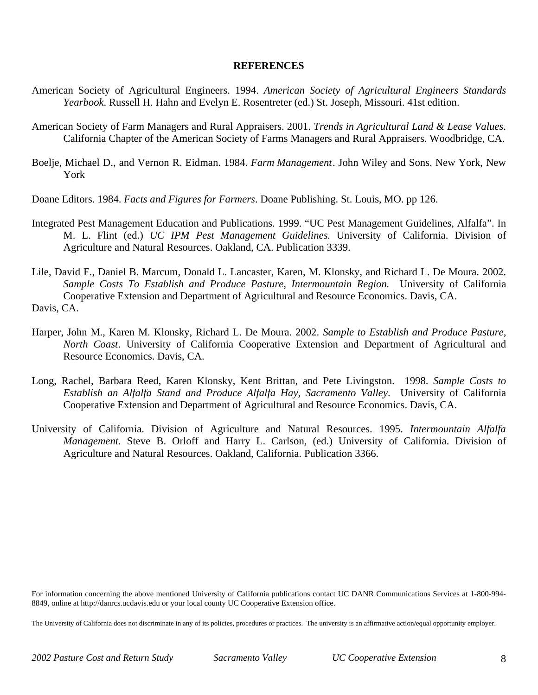#### **REFERENCES**

- American Society of Agricultural Engineers. 1994. *American Society of Agricultural Engineers Standards Yearbook*. Russell H. Hahn and Evelyn E. Rosentreter (ed.) St. Joseph, Missouri. 41st edition.
- American Society of Farm Managers and Rural Appraisers. 2001. *Trends in Agricultural Land & Lease Values*. California Chapter of the American Society of Farms Managers and Rural Appraisers. Woodbridge, CA.
- Boelje, Michael D., and Vernon R. Eidman. 1984. *Farm Management*. John Wiley and Sons. New York, New York
- Doane Editors. 1984. *Facts and Figures for Farmers*. Doane Publishing. St. Louis, MO. pp 126.
- Integrated Pest Management Education and Publications. 1999. "UC Pest Management Guidelines, Alfalfa". In M. L. Flint (ed.) *UC IPM Pest Management Guidelines*. University of California. Division of Agriculture and Natural Resources. Oakland, CA. Publication 3339.
- Lile, David F., Daniel B. Marcum, Donald L. Lancaster, Karen, M. Klonsky, and Richard L. De Moura. 2002. *Sample Costs To Establish and Produce Pasture, Intermountain Region.* University of California Cooperative Extension and Department of Agricultural and Resource Economics. Davis, CA. Davis, CA.
- Harper, John M., Karen M. Klonsky, Richard L. De Moura. 2002. *Sample to Establish and Produce Pasture, North Coast*. University of California Cooperative Extension and Department of Agricultural and Resource Economics. Davis, CA.
- Long, Rachel, Barbara Reed, Karen Klonsky, Kent Brittan, and Pete Livingston. 1998. *Sample Costs to Establish an Alfalfa Stand and Produce Alfalfa Hay*, *Sacramento Valley*. University of California Cooperative Extension and Department of Agricultural and Resource Economics. Davis, CA.
- University of California. Division of Agriculture and Natural Resources. 1995. *Intermountain Alfalfa Management.* Steve B. Orloff and Harry L. Carlson, (ed.) University of California. Division of Agriculture and Natural Resources. Oakland, California. Publication 3366.

For information concerning the above mentioned University of California publications contact UC DANR Communications Services at 1-800-994- 8849, online at http://danrcs.ucdavis.edu or your local county UC Cooperative Extension office.

The University of California does not discriminate in any of its policies, procedures or practices. The university is an affirmative action/equal opportunity employer.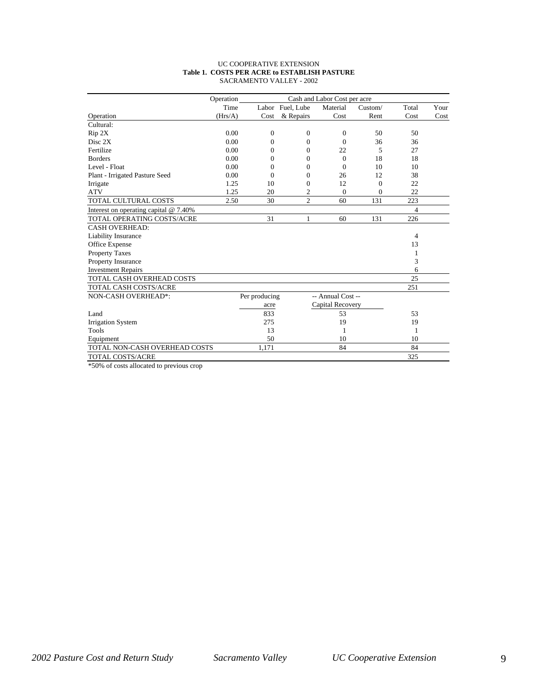#### UC COOPERATIVE EXTENSION **Table 1. COSTS PER ACRE to ESTABLISH PASTURE** SACRAMENTO VALLEY - 2002

|                                         | Operation |                |                  | Cash and Labor Cost per acre |              |                |      |
|-----------------------------------------|-----------|----------------|------------------|------------------------------|--------------|----------------|------|
|                                         | Time      |                | Labor Fuel, Lube | Material                     | Custom/      | Total          | Your |
| Operation                               | (Hrs/A)   | Cost           | & Repairs        | Cost                         | Rent         | Cost           | Cost |
| Cultural:                               |           |                |                  |                              |              |                |      |
| Rip 2X                                  | 0.00      | $\mathbf{0}$   | $\Omega$         | $\Omega$                     | 50           | 50             |      |
| Disc 2X                                 | 0.00      | $\mathbf{0}$   | 0                | $\Omega$                     | 36           | 36             |      |
| Fertilize                               | 0.00      | $\Omega$       | $\Omega$         | 22                           | 5            | 27             |      |
| <b>Borders</b>                          | 0.00      | $\Omega$       | $\Omega$         | $\Omega$                     | 18           | 18             |      |
| Level - Float                           | 0.00      | $\theta$       | $\Omega$         | $\Omega$                     | 10           | 10             |      |
| Plant - Irrigated Pasture Seed          | 0.00      | $\overline{0}$ | $\Omega$         | 26                           | 12           | 38             |      |
| Irrigate                                | 1.25      | 10             | $\Omega$         | 12                           | $\mathbf{0}$ | 22             |      |
| <b>ATV</b>                              | 1.25      | 20             | 2                | $\mathbf{0}$                 | $\mathbf{0}$ | 22             |      |
| TOTAL CULTURAL COSTS                    | 2.50      | 30             | $\overline{2}$   | 60                           | 131          | 223            |      |
| Interest on operating capital $@$ 7.40% |           |                |                  |                              |              | $\overline{4}$ |      |
| TOTAL OPERATING COSTS/ACRE              |           | 31             | 1                | 60                           | 131          | 226            |      |
| <b>CASH OVERHEAD:</b>                   |           |                |                  |                              |              |                |      |
| Liability Insurance                     |           |                |                  |                              |              | 4              |      |
| Office Expense                          |           |                |                  |                              |              | 13             |      |
| <b>Property Taxes</b>                   |           |                |                  |                              |              | 1              |      |
| Property Insurance                      |           |                |                  |                              |              | 3              |      |
| <b>Investment Repairs</b>               |           |                |                  |                              |              | 6              |      |
| TOTAL CASH OVERHEAD COSTS               |           |                |                  |                              |              | 25             |      |
| TOTAL CASH COSTS/ACRE                   |           |                |                  |                              |              | 251            |      |
| NON-CASH OVERHEAD*:                     |           | Per producing  |                  | -- Annual Cost --            |              |                |      |
|                                         |           | acre           |                  | Capital Recovery             |              |                |      |
| Land                                    |           | 833            |                  | 53                           |              | 53             |      |
| <b>Irrigation System</b>                |           | 275            |                  | 19                           |              | 19             |      |
| Tools                                   |           | 13             |                  | 1                            |              | $\mathbf{1}$   |      |
| Equipment                               |           | 50             |                  | 10                           |              | 10             |      |
| TOTAL NON-CASH OVERHEAD COSTS           |           | 1,171          |                  | 84                           |              | 84             |      |
| <b>TOTAL COSTS/ACRE</b>                 |           |                |                  |                              |              | 325            |      |

\*50% of costs allocated to previous crop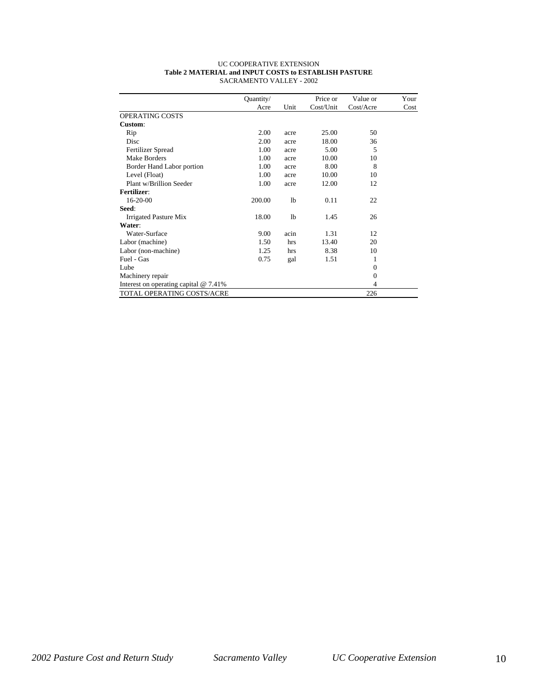| <b>UC COOPERATIVE EXTENSION</b>                       |
|-------------------------------------------------------|
| Table 2 MATERIAL and INPUT COSTS to ESTABLISH PASTURE |
| SACRAMENTO VALLEY - 2002                              |

|                                          | Quantity/ |                | Price or  | Value or     | Your |
|------------------------------------------|-----------|----------------|-----------|--------------|------|
|                                          | Acre      | Unit           | Cost/Unit | Cost/Acre    | Cost |
| OPERATING COSTS                          |           |                |           |              |      |
| Custom:                                  |           |                |           |              |      |
| Rip                                      | 2.00      | acre           | 25.00     | 50           |      |
| Disc                                     | 2.00      | acre           | 18.00     | 36           |      |
| Fertilizer Spread                        | 1.00      | acre           | 5.00      | 5            |      |
| <b>Make Borders</b>                      | 1.00      | acre           | 10.00     | 10           |      |
| Border Hand Labor portion                | 1.00      | acre           | 8.00      | 8            |      |
| Level (Float)                            | 1.00      | acre           | 10.00     | 10           |      |
| Plant w/Brillion Seeder                  | 1.00      | acre           | 12.00     | 12           |      |
| <b>Fertilizer:</b>                       |           |                |           |              |      |
| 16-20-00                                 | 200.00    | 1 <sub>b</sub> | 0.11      | 22           |      |
| Seed:                                    |           |                |           |              |      |
| Irrigated Pasture Mix                    | 18.00     | 1 <sub>b</sub> | 1.45      | 26           |      |
| Water:                                   |           |                |           |              |      |
| Water-Surface                            | 9.00      | acin           | 1.31      | 12           |      |
| Labor (machine)                          | 1.50      | hrs            | 13.40     | 20           |      |
| Labor (non-machine)                      | 1.25      | hrs            | 8.38      | 10           |      |
| Fuel - Gas                               | 0.75      | gal            | 1.51      | 1            |      |
| Lube                                     |           |                |           | $\Omega$     |      |
| Machinery repair                         |           |                |           | $\mathbf{0}$ |      |
| Interest on operating capital $@ 7.41\%$ |           |                |           | 4            |      |
| TOTAL OPERATING COSTS/ACRE               |           |                |           | 226          |      |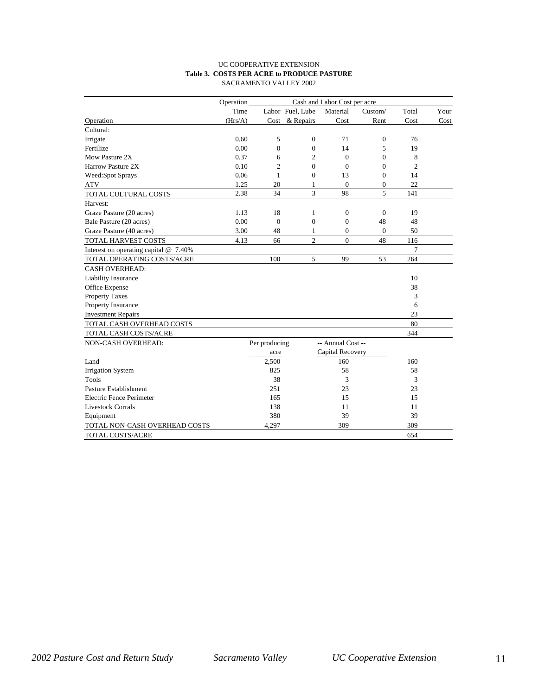#### UC COOPERATIVE EXTENSION **Table 3. COSTS PER ACRE to PRODUCE PASTURE** SACRAMENTO VALLEY 2002

|                                         | Operation<br>Cash and Labor Cost per acre |                |                  |                   |                |                |      |  |
|-----------------------------------------|-------------------------------------------|----------------|------------------|-------------------|----------------|----------------|------|--|
|                                         | Time                                      |                | Labor Fuel, Lube | Material          | Custom/        | Total          | Your |  |
| Operation                               | (Hrs/A)                                   |                | Cost & Repairs   | Cost              | Rent           | Cost           | Cost |  |
| Cultural:                               |                                           |                |                  |                   |                |                |      |  |
| Irrigate                                | 0.60                                      | 5              | $\Omega$         | 71                | 0              | 76             |      |  |
| Fertilize                               | 0.00                                      | $\mathbf{0}$   | $\Omega$         | 14                | 5              | 19             |      |  |
| Mow Pasture 2X                          | 0.37                                      | 6              | 2                | $\Omega$          | $\Omega$       | 8              |      |  |
| Harrow Pasture 2X                       | 0.10                                      | $\mathfrak{2}$ | $\Omega$         | $\theta$          | $\overline{0}$ | $\overline{c}$ |      |  |
| Weed:Spot Sprays                        | 0.06                                      | 1              | $\Omega$         | 13                | $\overline{0}$ | 14             |      |  |
| <b>ATV</b>                              | 1.25                                      | 20             | 1                | $\mathbf{0}$      | $\overline{0}$ | 22             |      |  |
| TOTAL CULTURAL COSTS                    | 2.38                                      | 34             | 3                | 98                | 5              | 141            |      |  |
| Harvest:                                |                                           |                |                  |                   |                |                |      |  |
| Graze Pasture (20 acres)                | 1.13                                      | 18             | 1                | $\theta$          | $\Omega$       | 19             |      |  |
| Bale Pasture (20 acres)                 | 0.00                                      | $\Omega$       | $\overline{0}$   | $\Omega$          | 48             | 48             |      |  |
| Graze Pasture (40 acres)                | 3.00                                      | 48             | 1                | $\theta$          | $\mathbf{0}$   | 50             |      |  |
| TOTAL HARVEST COSTS                     | 4.13                                      | 66             | $\overline{c}$   | $\Omega$          | 48             | 116            |      |  |
| Interest on operating capital $@$ 7.40% |                                           |                |                  |                   |                | $\tau$         |      |  |
| TOTAL OPERATING COSTS/ACRE              |                                           | 100            | 5                | 99                | 53             | 264            |      |  |
| <b>CASH OVERHEAD:</b>                   |                                           |                |                  |                   |                |                |      |  |
| Liability Insurance                     |                                           |                |                  |                   |                | 10             |      |  |
| Office Expense                          |                                           |                |                  |                   |                | 38             |      |  |
| <b>Property Taxes</b>                   |                                           |                |                  |                   |                | 3              |      |  |
| Property Insurance                      |                                           |                |                  |                   |                | 6              |      |  |
| <b>Investment Repairs</b>               |                                           |                |                  |                   |                | 23             |      |  |
| TOTAL CASH OVERHEAD COSTS               |                                           |                |                  |                   |                | 80             |      |  |
| TOTAL CASH COSTS/ACRE                   |                                           |                |                  |                   |                | 344            |      |  |
| NON-CASH OVERHEAD:                      |                                           | Per producing  |                  | -- Annual Cost -- |                |                |      |  |
|                                         |                                           | acre           |                  | Capital Recovery  |                |                |      |  |
| Land                                    |                                           | 2,500          |                  | 160               |                | 160            |      |  |
| <b>Irrigation System</b>                |                                           | 825            |                  | 58                |                | 58             |      |  |
| <b>Tools</b>                            |                                           | 38             |                  | 3                 |                | 3              |      |  |
| Pasture Establishment                   |                                           | 251            |                  | 23                |                | 23             |      |  |
| <b>Electric Fence Perimeter</b>         |                                           | 165            |                  | 15                |                | 15             |      |  |
| <b>Livestock Corrals</b>                |                                           | 138            |                  | 11                |                | 11             |      |  |
| Equipment                               |                                           | 380            |                  | 39                |                | 39             |      |  |
| TOTAL NON-CASH OVERHEAD COSTS           |                                           | 4,297          |                  | 309               |                | 309            |      |  |
| TOTAL COSTS/ACRE                        |                                           |                |                  |                   |                | 654            |      |  |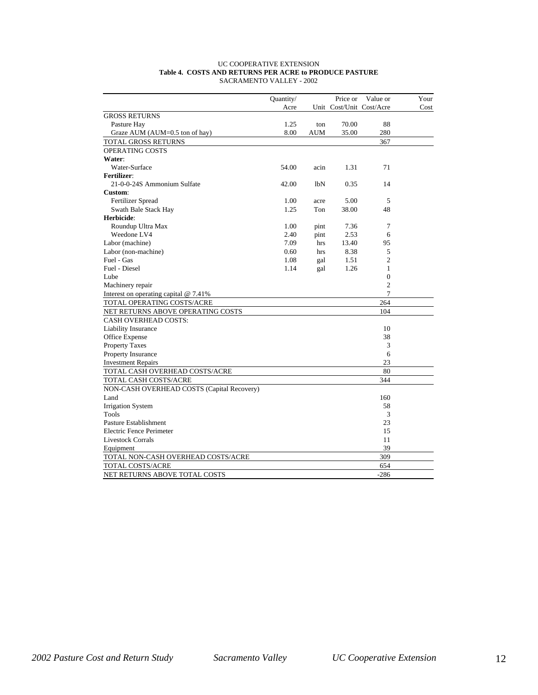|                                            | Quantity/ |      | Price or | Value or                 | Your |
|--------------------------------------------|-----------|------|----------|--------------------------|------|
|                                            | Acre      |      |          | Unit Cost/Unit Cost/Acre | Cost |
| <b>GROSS RETURNS</b>                       |           |      |          |                          |      |
| Pasture Hay                                | 1.25      | ton  | 70.00    | 88                       |      |
| Graze AUM (AUM=0.5 ton of hay)             | 8.00      | AUM  | 35.00    | 280                      |      |
| TOTAL GROSS RETURNS                        |           |      |          | 367                      |      |
| OPERATING COSTS                            |           |      |          |                          |      |
| Water:                                     |           |      |          |                          |      |
| Water-Surface                              | 54.00     | acin | 1.31     | 71                       |      |
| <b>Fertilizer:</b>                         |           |      |          |                          |      |
| 21-0-0-24S Ammonium Sulfate                | 42.00     | lbN  | 0.35     | 14                       |      |
| Custom:                                    |           |      |          |                          |      |
| Fertilizer Spread                          | 1.00      | acre | 5.00     | 5                        |      |
| Swath Bale Stack Hay                       | 1.25      | Ton  | 38.00    | 48                       |      |
| Herbicide:                                 |           |      |          |                          |      |
| Roundup Ultra Max                          | 1.00      | pint | 7.36     | 7                        |      |
| Weedone LV4                                | 2.40      | pint | 2.53     | 6                        |      |
| Labor (machine)                            | 7.09      | hrs  | 13.40    | 95                       |      |
| Labor (non-machine)                        | 0.60      | hrs  | 8.38     | 5                        |      |
| Fuel - Gas                                 | 1.08      | gal  | 1.51     | $\overline{2}$           |      |
| Fuel - Diesel                              | 1.14      | gal  | 1.26     | 1                        |      |
| Lube                                       |           |      |          | $\overline{0}$           |      |
| Machinery repair                           |           |      |          | $\overline{2}$           |      |
| Interest on operating capital $@$ 7.41%    |           |      |          | $\overline{7}$           |      |
| TOTAL OPERATING COSTS/ACRE                 |           |      |          | 264                      |      |
| NET RETURNS ABOVE OPERATING COSTS          |           |      |          | 104                      |      |
| <b>CASH OVERHEAD COSTS:</b>                |           |      |          |                          |      |
| Liability Insurance                        |           |      |          | 10                       |      |
| Office Expense                             |           |      |          | 38                       |      |
| <b>Property Taxes</b>                      |           |      |          | 3                        |      |
| Property Insurance                         |           |      |          | 6                        |      |
| <b>Investment Repairs</b>                  |           |      |          | 23                       |      |
| TOTAL CASH OVERHEAD COSTS/ACRE             |           |      |          | 80                       |      |
| TOTAL CASH COSTS/ACRE                      |           |      |          | 344                      |      |
| NON-CASH OVERHEAD COSTS (Capital Recovery) |           |      |          |                          |      |
| Land                                       |           |      |          | 160                      |      |
| <b>Irrigation System</b>                   |           |      |          | 58                       |      |
| Tools                                      |           |      |          | 3                        |      |
| Pasture Establishment                      |           |      |          | 23                       |      |
| Electric Fence Perimeter                   |           |      |          | 15                       |      |
| <b>Livestock Corrals</b>                   |           |      |          | 11                       |      |
| Equipment                                  |           |      |          | 39                       |      |
| TOTAL NON-CASH OVERHEAD COSTS/ACRE         |           |      |          | 309                      |      |
| TOTAL COSTS/ACRE                           |           |      |          | 654                      |      |
| NET RETURNS ABOVE TOTAL COSTS              |           |      |          | $-286$                   |      |

#### UC COOPERATIVE EXTENSION **Table 4. COSTS AND RETURNS PER ACRE to PRODUCE PASTURE** SACRAMENTO VALLEY - 2002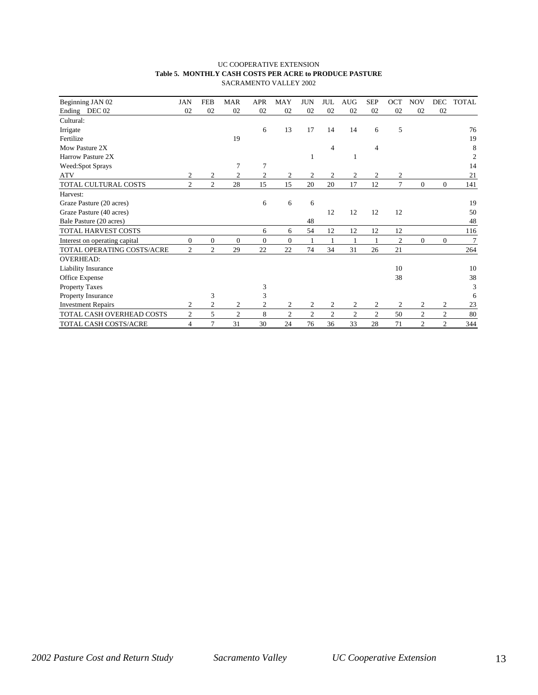#### UC COOPERATIVE EXTENSION **Table 5. MONTHLY CASH COSTS PER ACRE to PRODUCE PASTURE** SACRAMENTO VALLEY 2002

| Beginning JAN 02              | <b>JAN</b>     | <b>FEB</b>     | <b>MAR</b>     | <b>APR</b>       | MAY            | <b>JUN</b>    | JUL            | <b>AUG</b>   | <b>SEP</b>                  | <b>OCT</b>     | <b>NOV</b>     | <b>DEC</b>     | TOTAL |
|-------------------------------|----------------|----------------|----------------|------------------|----------------|---------------|----------------|--------------|-----------------------------|----------------|----------------|----------------|-------|
| Ending DEC 02                 | 02             | 02             | 02             | 02               | 02             | 02            | 02             | 02           | 02                          | 02             | 02             | 02             |       |
| Cultural:                     |                |                |                |                  |                |               |                |              |                             |                |                |                |       |
|                               |                |                |                |                  |                |               |                |              |                             |                |                |                |       |
| Irrigate                      |                |                |                | 6                | 13             | 17            | 14             | 14           | 6                           | 5              |                |                | 76    |
| Fertilize                     |                |                | 19             |                  |                |               |                |              |                             |                |                |                | 19    |
| Mow Pasture 2X                |                |                |                |                  |                |               | $\overline{4}$ |              | $\overline{4}$              |                |                |                | 8     |
| Harrow Pasture 2X             |                |                |                |                  |                | 1             |                |              |                             |                |                |                | 2     |
| Weed:Spot Sprays              |                |                | 7              | 7                |                |               |                |              |                             |                |                |                | 14    |
| <b>ATV</b>                    | 2              | 2              | 2              | $\boldsymbol{2}$ | 2              | 2             | $\mathfrak{2}$ | 2            | 2                           | 2              |                |                | 21    |
| TOTAL CULTURAL COSTS          | $\overline{c}$ | $\overline{2}$ | 28             | 15               | 15             | 20            | 20             | 17           | 12                          | 7              | $\Omega$       | $\Omega$       | 141   |
| Harvest:                      |                |                |                |                  |                |               |                |              |                             |                |                |                |       |
| Graze Pasture (20 acres)      |                |                |                | 6                | 6              | 6             |                |              |                             |                |                |                | 19    |
| Graze Pasture (40 acres)      |                |                |                |                  |                |               | 12             | 12           | 12                          | 12             |                |                | 50    |
| Bale Pasture (20 acres)       |                |                |                |                  |                | 48            |                |              |                             |                |                |                | 48    |
| TOTAL HARVEST COSTS           |                |                |                | 6                | 6              | 54            | 12             | 12           | 12                          | 12             |                |                | 116   |
| Interest on operating capital | $\mathbf{0}$   | $\mathbf{0}$   | $\overline{0}$ | $\overline{0}$   | $\mathbf{0}$   |               | $\overline{1}$ | $\mathbf{1}$ | $\mathbf{1}$                | $\mathfrak{2}$ | $\Omega$       | $\Omega$       | 7     |
| TOTAL OPERATING COSTS/ACRE    | $\overline{2}$ | $\overline{2}$ | 29             | 22               | 22             | 74            | 34             | 31           | 26                          | 21             |                |                | 264   |
| <b>OVERHEAD:</b>              |                |                |                |                  |                |               |                |              |                             |                |                |                |       |
| <b>Liability Insurance</b>    |                |                |                |                  |                |               |                |              |                             | 10             |                |                | 10    |
| Office Expense                |                |                |                |                  |                |               |                |              |                             | 38             |                |                | 38    |
| <b>Property Taxes</b>         |                |                |                | 3                |                |               |                |              |                             |                |                |                | 3     |
| Property Insurance            |                | 3              |                | 3                |                |               |                |              |                             |                |                |                | 6     |
| <b>Investment Repairs</b>     | 2              | $\overline{c}$ | 2              | 2                | 2              | 2             | 2              | 2            | 2                           | 2              | 2              | 2              | 23    |
| TOTAL CASH OVERHEAD COSTS     | $\overline{c}$ | 5              | $\overline{c}$ | 8                | $\mathfrak{2}$ | $\mathcal{L}$ | 2              | 2            | $\mathcal{D}_{\mathcal{L}}$ | 50             | $\overline{c}$ | $\overline{2}$ | 80    |
| TOTAL CASH COSTS/ACRE         | 4              | 7              | 31             | 30               | 24             | 76            | 36             | 33           | 28                          | 71             | $\mathfrak{2}$ | $\overline{2}$ | 344   |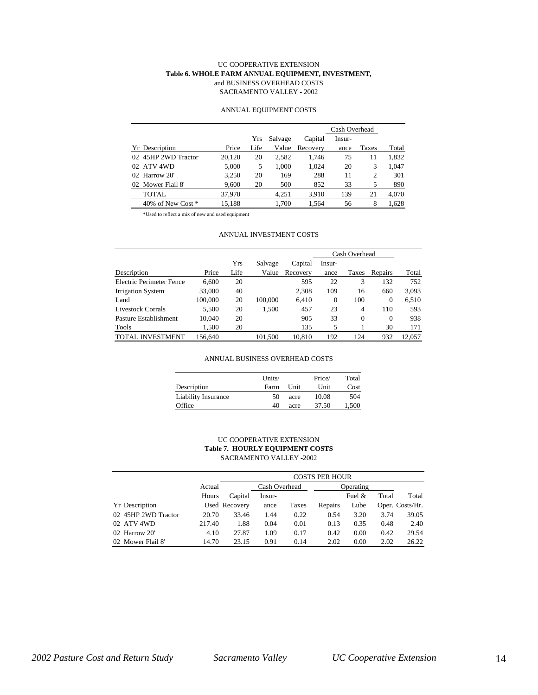#### UC COOPERATIVE EXTENSION **Table 6. WHOLE FARM ANNUAL EQUIPMENT, INVESTMENT,** and BUSINESS OVERHEAD COSTS SACRAMENTO VALLEY - 2002

#### ANNUAL EQUIPMENT COSTS

|                     |        |      |         |          | Cash Overhead |       |       |  |  |
|---------------------|--------|------|---------|----------|---------------|-------|-------|--|--|
|                     |        | Yrs  | Salvage | Capital  | Insur-        |       |       |  |  |
| Yr Description      | Price  | Life | Value   | Recovery | ance          | Taxes | Total |  |  |
| 02 45HP 2WD Tractor | 20,120 | 20   | 2.582   | 1.746    | 75            | 11    | 1,832 |  |  |
| 02 ATV 4WD          | 5.000  | 5    | 1.000   | 1.024    | 20            | 3     | 1.047 |  |  |
| $02$ Harrow $20'$   | 3.250  | 20   | 169     | 288      | 11            | 2     | 301   |  |  |
| 02 Mower Flail 8'   | 9,600  | 20   | 500     | 852      | 33            | 5     | 890   |  |  |
| TOTAL               | 37,970 |      | 4.251   | 3.910    | 139           | 21    | 4,070 |  |  |
| 40% of New Cost *   | 15.188 |      | 1.700   | 1.564    | 56            | 8     | 1.628 |  |  |

\*Used to reflect a mix of new and used equipment

#### ANNUAL INVESTMENT COSTS

|                          |         |      |         |          | Cash Overhead |              |          |        |
|--------------------------|---------|------|---------|----------|---------------|--------------|----------|--------|
|                          |         | Yrs  | Salvage | Capital  | Insur-        |              |          |        |
| Description              | Price   | Life | Value   | Recovery | ance          | Taxes        | Repairs  | Total  |
| Electric Perimeter Fence | 6.600   | 20   |         | 595      | 22            | 3            | 132      | 752    |
| Irrigation System        | 33,000  | 40   |         | 2.308    | 109           | 16           | 660      | 3,093  |
| Land                     | 100,000 | 20   | 100,000 | 6.410    | $\Omega$      | 100          | $\Omega$ | 6.510  |
| <b>Livestock Corrals</b> | 5.500   | 20   | 1.500   | 457      | 23            | 4            | 110      | 593    |
| Pasture Establishment    | 10.040  | 20   |         | 905      | 33            | $\mathbf{0}$ | $\Omega$ | 938    |
| Tools                    | 1,500   | 20   |         | 135      | 5             |              | 30       | 171    |
| VESTMENT                 | 156.640 |      | 101.500 | 10.810   | 192           | 124          | 932      | 12.057 |

#### ANNUAL BUSINESS OVERHEAD COSTS

|                     | Units/ |      | Price/ | Total |
|---------------------|--------|------|--------|-------|
| Description         | Farm   | Unit | Unit   | Cost  |
| Liability Insurance | 50     | acre | 10.08  | 504   |
| Office              | 40     | acre | 37.50  | 1.500 |

#### UC COOPERATIVE EXTENSION **Table 7. HOURLY EQUIPMENT COSTS** SACRAMENTO VALLEY -2002

|                       |        |               | <b>COSTS PER HOUR</b> |       |           |          |       |                 |  |  |  |  |
|-----------------------|--------|---------------|-----------------------|-------|-----------|----------|-------|-----------------|--|--|--|--|
|                       | Actual | Cash Overhead |                       |       | Operating |          |       |                 |  |  |  |  |
|                       | Hours  | Capital       | Insur-                |       |           | Fuel $&$ | Total | Total           |  |  |  |  |
| <b>Yr</b> Description |        | Used Recovery | ance                  | Taxes | Repairs   | Lube     |       | Oper. Costs/Hr. |  |  |  |  |
| 02 45HP 2WD Tractor   | 20.70  | 33.46         | 1.44                  | 0.22  | 0.54      | 3.20     | 3.74  | 39.05           |  |  |  |  |
| 02 ATV 4WD            | 217.40 | 1.88          | 0.04                  | 0.01  | 0.13      | 0.35     | 0.48  | 2.40            |  |  |  |  |
| 02 Harrow 20'         | 4.10   | 27.87         | 1.09                  | 0.17  | 0.42      | 0.00     | 0.42  | 29.54           |  |  |  |  |
| 02 Mower Flail 8'     | 14.70  | 23.15         | 0.91                  | 0.14  | 2.02      | 0.00     | 2.02  | 26.22           |  |  |  |  |